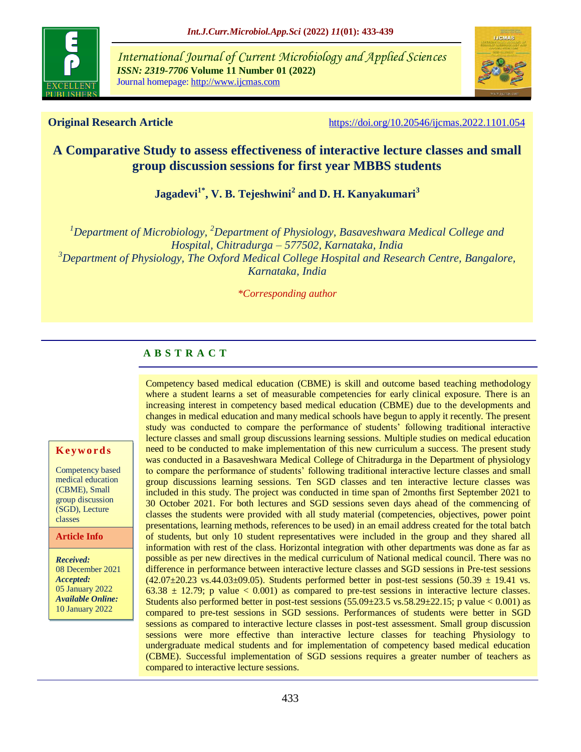

*International Journal of Current Microbiology and Applied Sciences ISSN: 2319-7706* **Volume 11 Number 01 (2022)**  Journal homepage: http://www.ijcmas.com



**Original Research Article** <https://doi.org/10.20546/ijcmas.2022.1101.054>

# **A Comparative Study to assess effectiveness of interactive lecture classes and small group discussion sessions for first year MBBS students**

**Jagadevi1\*, V. B. Tejeshwini<sup>2</sup> and D. H. Kanyakumari<sup>3</sup>**

*<sup>1</sup>Department of Microbiology, <sup>2</sup>Department of Physiology, Basaveshwara Medical College and Hospital, Chitradurga – 577502, Karnataka, India <sup>3</sup>Department of Physiology, The Oxford Medical College Hospital and Research Centre, Bangalore, Karnataka, India*

*\*Corresponding author*

## **A B S T R A C T**

#### **K ey w o rd s**

Competency based medical education (CBME), Small group discussion (SGD), Lecture classes

#### **Article Info**

*Received:*  08 December 2021 *Accepted:*  05 January 2022 *Available Online:* 10 January 2022

Competency based medical education (CBME) is skill and outcome based teaching methodology where a student learns a set of measurable competencies for early clinical exposure. There is an increasing interest in competency based medical education (CBME) due to the developments and changes in medical education and many medical schools have begun to apply it recently. The present study was conducted to compare the performance of students" following traditional interactive lecture classes and small group discussions learning sessions. Multiple studies on medical education need to be conducted to make implementation of this new curriculum a success. The present study was conducted in a Basaveshwara Medical College of Chitradurga in the Department of physiology to compare the performance of students' following traditional interactive lecture classes and small group discussions learning sessions. Ten SGD classes and ten interactive lecture classes was included in this study. The project was conducted in time span of 2months first September 2021 to 30 October 2021. For both lectures and SGD sessions seven days ahead of the commencing of classes the students were provided with all study material (competencies, objectives, power point presentations, learning methods, references to be used) in an email address created for the total batch of students, but only 10 student representatives were included in the group and they shared all information with rest of the class. Horizontal integration with other departments was done as far as possible as per new directives in the medical curriculum of National medical council. There was no difference in performance between interactive lecture classes and SGD sessions in Pre-test sessions  $(42.07\pm20.23 \text{ vs. } 44.03\pm09.05)$ . Students performed better in post-test sessions  $(50.39 \pm 19.41 \text{ vs. } 10.41 \text{ vs. } 10.41 \text{ vs. } 10.41 \text{ vs. } 10.41 \text{ vs. } 10.41 \text{ vs. } 10.41 \text{ vs. } 10.41 \text{ vs. } 10.41 \text{ vs. } 10.41 \text{ vs. } 10.41 \$  $63.38 \pm 12.79$ ; p value < 0.001) as compared to pre-test sessions in interactive lecture classes. Students also performed better in post-test sessions  $(55.09 \pm 23.5 \text{ vs. } 58.29 \pm 22.15; \text{ p value} < 0.001)$  as compared to pre-test sessions in SGD sessions. Performances of students were better in SGD sessions as compared to interactive lecture classes in post-test assessment. Small group discussion sessions were more effective than interactive lecture classes for teaching Physiology to undergraduate medical students and for implementation of competency based medical education (CBME). Successful implementation of SGD sessions requires a greater number of teachers as compared to interactive lecture sessions.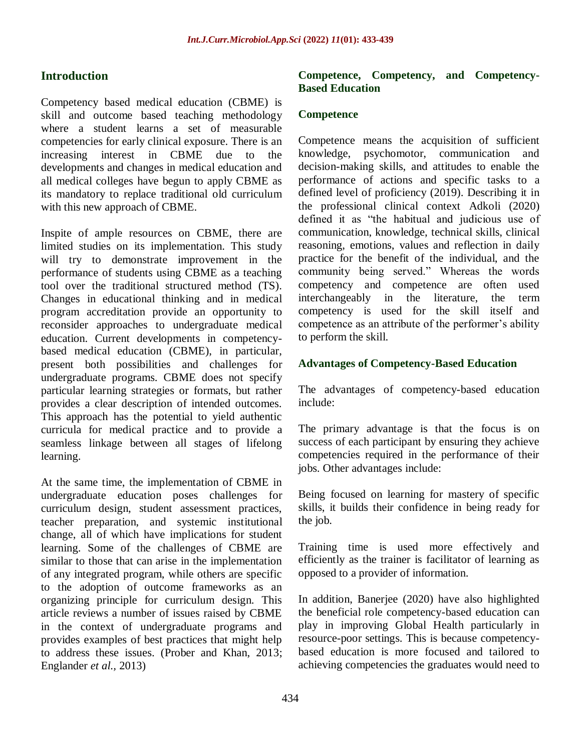# **Introduction**

Competency based medical education (CBME) is skill and outcome based teaching methodology where a student learns a set of measurable competencies for early clinical exposure. There is an increasing interest in CBME due to the developments and changes in medical education and all medical colleges have begun to apply CBME as its mandatory to replace traditional old curriculum with this new approach of CBME.

Inspite of ample resources on CBME, there are limited studies on its implementation. This study will try to demonstrate improvement in the performance of students using CBME as a teaching tool over the traditional structured method (TS). Changes in educational thinking and in medical program accreditation provide an opportunity to reconsider approaches to undergraduate medical education. Current developments in competencybased medical education (CBME), in particular, present both possibilities and challenges for undergraduate programs. CBME does not specify particular learning strategies or formats, but rather provides a clear description of intended outcomes. This approach has the potential to yield authentic curricula for medical practice and to provide a seamless linkage between all stages of lifelong learning.

At the same time, the implementation of CBME in undergraduate education poses challenges for curriculum design, student assessment practices, teacher preparation, and systemic institutional change, all of which have implications for student learning. Some of the challenges of CBME are similar to those that can arise in the implementation of any integrated program, while others are specific to the adoption of outcome frameworks as an organizing principle for curriculum design. This article reviews a number of issues raised by CBME in the context of undergraduate programs and provides examples of best practices that might help to address these issues. (Prober and Khan, 2013; Englander *et al.,* 2013)

#### **Competence, Competency, and Competency-Based Education**

## **Competence**

Competence means the acquisition of sufficient knowledge, psychomotor, communication and decision-making skills, and attitudes to enable the performance of actions and specific tasks to a defined level of proficiency [\(2019\).](http://www.amhsjournal.org/article.asp?issn=2321-4848%3Byear%3D2014%3Bvolume%3D2%3Bissue%3D2%3Bspage%3D247%3Bepage%3D253%3Baulast%3DChacko&ref3) Describing it in the professional clinical context Adkoli [\(2020\)](http://www.amhsjournal.org/article.asp?issn=2321-4848%3Byear%3D2014%3Bvolume%3D2%3Bissue%3D2%3Bspage%3D247%3Bepage%3D253%3Baulast%3DChacko&ref4) defined it as "the habitual and judicious use of communication, knowledge, technical skills, clinical reasoning, emotions, values and reflection in daily practice for the benefit of the individual, and the community being served." Whereas the words competency and competence are often used interchangeably in the literature, the term competency is used for the skill itself and competence as an attribute of the performer's ability to perform the skill.

## **Advantages of Competency-Based Education**

The advantages of competency-based education include:

The primary advantage is that the focus is on success of each participant by ensuring they achieve competencies required in the performance of their jobs. Other advantages include:

Being focused on learning for mastery of specific skills, it builds their confidence in being ready for the job.

Training time is used more effectively and efficiently as the trainer is facilitator of learning as opposed to a provider of information.

In addition, Banerjee [\(2020\)](http://www.amhsjournal.org/article.asp?issn=2321-4848%3Byear%3D2014%3Bvolume%3D2%3Bissue%3D2%3Bspage%3D247%3Bepage%3D253%3Baulast%3DChacko&ref9) have also highlighted the beneficial role competency-based education can play in improving Global Health particularly in resource-poor settings. This is because competencybased education is more focused and tailored to achieving competencies the graduates would need to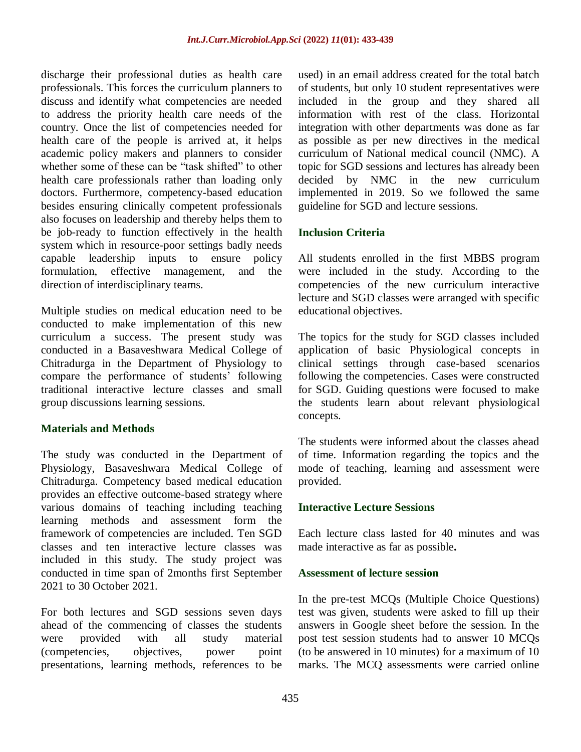discharge their professional duties as health care professionals. This forces the curriculum planners to discuss and identify what competencies are needed to address the priority health care needs of the country. Once the list of competencies needed for health care of the people is arrived at, it helps academic policy makers and planners to consider whether some of these can be "task shifted" to other health care professionals rather than loading only doctors. Furthermore, competency-based education besides ensuring clinically competent professionals also focuses on leadership and thereby helps them to be job-ready to function effectively in the health system which in resource-poor settings badly needs capable leadership inputs to ensure policy formulation, effective management, and the direction of interdisciplinary teams.

Multiple studies on medical education need to be conducted to make implementation of this new curriculum a success. The present study was conducted in a Basaveshwara Medical College of Chitradurga in the Department of Physiology to compare the performance of students' following traditional interactive lecture classes and small group discussions learning sessions.

#### **Materials and Methods**

The study was conducted in the Department of Physiology, Basaveshwara Medical College of Chitradurga. Competency based medical education provides an effective outcome-based strategy where various domains of teaching including teaching learning methods and assessment form the framework of competencies are included. Ten SGD classes and ten interactive lecture classes was included in this study. The study project was conducted in time span of 2months first September 2021 to 30 October 2021.

For both lectures and SGD sessions seven days ahead of the commencing of classes the students were provided with all study material (competencies, objectives, power point presentations, learning methods, references to be

used) in an email address created for the total batch of students, but only 10 student representatives were included in the group and they shared all information with rest of the class. Horizontal integration with other departments was done as far as possible as per new directives in the medical curriculum of National medical council (NMC). A topic for SGD sessions and lectures has already been decided by NMC in the new curriculum implemented in 2019. So we followed the same guideline for SGD and lecture sessions.

## **Inclusion Criteria**

All students enrolled in the first MBBS program were included in the study. According to the competencies of the new curriculum interactive lecture and SGD classes were arranged with specific educational objectives.

The topics for the study for SGD classes included application of basic Physiological concepts in clinical settings through case-based scenarios following the competencies. Cases were constructed for SGD. Guiding questions were focused to make the students learn about relevant physiological concepts.

The students were informed about the classes ahead of time. Information regarding the topics and the mode of teaching, learning and assessment were provided.

## **Interactive Lecture Sessions**

Each lecture class lasted for 40 minutes and was made interactive as far as possible**.**

## **Assessment of lecture session**

In the pre-test MCQs (Multiple Choice Questions) test was given, students were asked to fill up their answers in Google sheet before the session. In the post test session students had to answer 10 MCQs (to be answered in 10 minutes) for a maximum of 10 marks. The MCQ assessments were carried online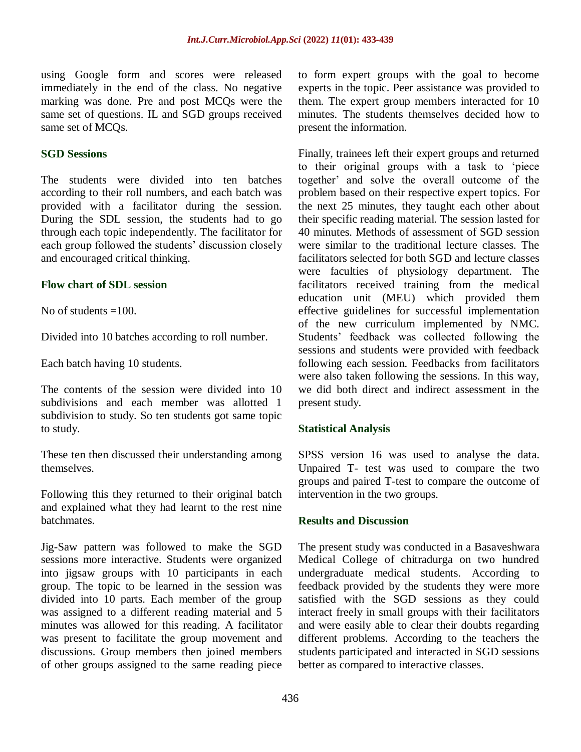using Google form and scores were released immediately in the end of the class. No negative marking was done. Pre and post MCQs were the same set of questions. IL and SGD groups received same set of MCQs.

#### **SGD Sessions**

The students were divided into ten batches according to their roll numbers, and each batch was provided with a facilitator during the session. During the SDL session, the students had to go through each topic independently. The facilitator for each group followed the students' discussion closely and encouraged critical thinking.

#### **Flow chart of SDL session**

No of students  $=100$ .

Divided into 10 batches according to roll number.

Each batch having 10 students.

The contents of the session were divided into 10 subdivisions and each member was allotted 1 subdivision to study. So ten students got same topic to study.

These ten then discussed their understanding among themselves.

Following this they returned to their original batch and explained what they had learnt to the rest nine batchmates.

Jig-Saw pattern was followed to make the SGD sessions more interactive. Students were organized into jigsaw groups with 10 participants in each group. The topic to be learned in the session was divided into 10 parts. Each member of the group was assigned to a different reading material and 5 minutes was allowed for this reading. A facilitator was present to facilitate the group movement and discussions. Group members then joined members of other groups assigned to the same reading piece

to form expert groups with the goal to become experts in the topic. Peer assistance was provided to them. The expert group members interacted for 10 minutes. The students themselves decided how to present the information.

Finally, trainees left their expert groups and returned to their original groups with a task to "piece together" and solve the overall outcome of the problem based on their respective expert topics. For the next 25 minutes, they taught each other about their specific reading material. The session lasted for 40 minutes. Methods of assessment of SGD session were similar to the traditional lecture classes. The facilitators selected for both SGD and lecture classes were faculties of physiology department. The facilitators received training from the medical education unit (MEU) which provided them effective guidelines for successful implementation of the new curriculum implemented by NMC. Students" feedback was collected following the sessions and students were provided with feedback following each session. Feedbacks from facilitators were also taken following the sessions. In this way, we did both direct and indirect assessment in the present study.

#### **Statistical Analysis**

SPSS version 16 was used to analyse the data. Unpaired T- test was used to compare the two groups and paired T-test to compare the outcome of intervention in the two groups.

#### **Results and Discussion**

The present study was conducted in a Basaveshwara Medical College of chitradurga on two hundred undergraduate medical students. According to feedback provided by the students they were more satisfied with the SGD sessions as they could interact freely in small groups with their facilitators and were easily able to clear their doubts regarding different problems. According to the teachers the students participated and interacted in SGD sessions better as compared to interactive classes.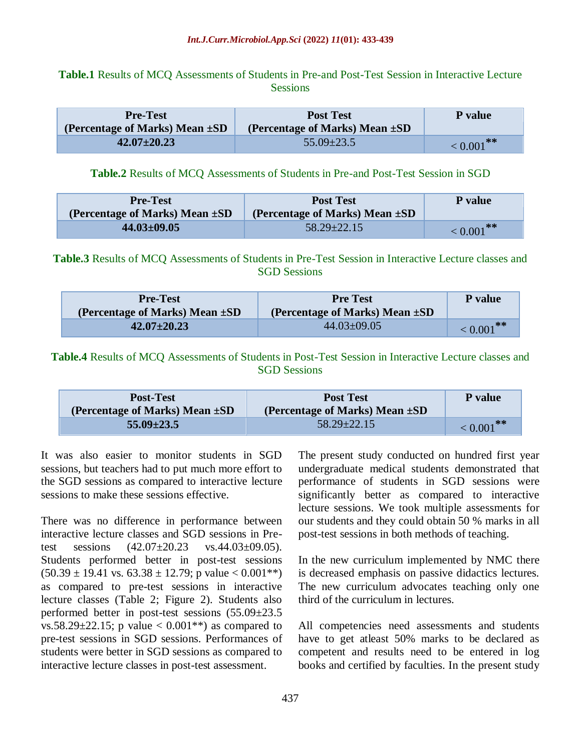## **Table.1** Results of MCQ Assessments of Students in Pre-and Post-Test Session in Interactive Lecture **Sessions**

| <b>Pre-Test</b><br>(Percentage of Marks) Mean $\pm SD$ | <b>Post Test</b><br>(Percentage of Marks) Mean $\pm SD$ | P value         |
|--------------------------------------------------------|---------------------------------------------------------|-----------------|
| $42.07 \pm 20.23$                                      | $55.09 \pm 23.5$                                        | $\leq 0.001$ ** |

#### **Table.2** Results of MCQ Assessments of Students in Pre-and Post-Test Session in SGD

| <b>Pre-Test</b><br>(Percentage of Marks) Mean $\pm SD$ | <b>Post Test</b><br>(Percentage of Marks) Mean $\pm SD$ | P value         |
|--------------------------------------------------------|---------------------------------------------------------|-----------------|
| $44.03 \pm 09.05$                                      | $58.29 \pm 22.15$                                       | $\leq 0.001$ ** |

**Table.3** Results of MCQ Assessments of Students in Pre-Test Session in Interactive Lecture classes and SGD Sessions

| <b>Pre-Test</b>                | <b>Pre Test</b>                     | P value         |
|--------------------------------|-------------------------------------|-----------------|
| (Percentage of Marks) Mean ±SD | (Percentage of Marks) Mean $\pm SD$ |                 |
| $42.07 \pm 20.23$              | $44.03 \pm 09.05$                   | $\leq 0.001$ ** |

**Table.4** Results of MCQ Assessments of Students in Post-Test Session in Interactive Lecture classes and SGD Sessions

| <b>Post-Test</b>               | <b>Post Test</b>               | P value         |
|--------------------------------|--------------------------------|-----------------|
| (Percentage of Marks) Mean ±SD | (Percentage of Marks) Mean ±SD |                 |
| $55.09 \pm 23.5$               | $58.29 \pm 22.15$              | $\leq 0.001$ ** |

It was also easier to monitor students in SGD sessions, but teachers had to put much more effort to the SGD sessions as compared to interactive lecture sessions to make these sessions effective.

There was no difference in performance between interactive lecture classes and SGD sessions in Pretest sessions  $(42.07 \pm 20.23 \text{ vs. } 44.03 \pm 09.05)$ . Students performed better in post-test sessions  $(50.39 \pm 19.41 \text{ vs. } 63.38 \pm 12.79 \text{; p value} < 0.001^{**})$ as compared to pre-test sessions in interactive lecture classes (Table 2; Figure 2). Students also performed better in post-test sessions (55.09±23.5 vs.58.29 $\pm$ 22.15; p value < 0.001\*\*) as compared to pre-test sessions in SGD sessions. Performances of students were better in SGD sessions as compared to interactive lecture classes in post-test assessment.

The present study conducted on hundred first year undergraduate medical students demonstrated that performance of students in SGD sessions were significantly better as compared to interactive lecture sessions. We took multiple assessments for our students and they could obtain 50 % marks in all post-test sessions in both methods of teaching.

In the new curriculum implemented by NMC there is decreased emphasis on passive didactics lectures. The new curriculum advocates teaching only one third of the curriculum in lectures.

All competencies need assessments and students have to get atleast 50% marks to be declared as competent and results need to be entered in log books and certified by faculties. In the present study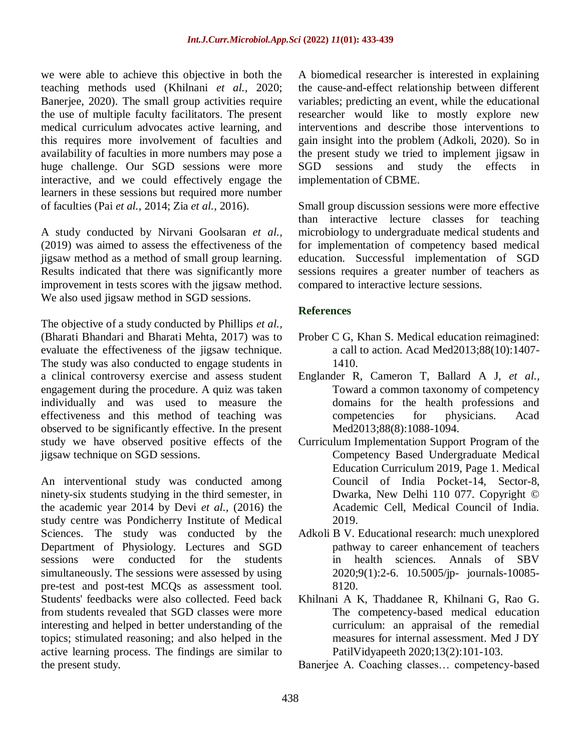we were able to achieve this objective in both the teaching methods used (Khilnani *et al.,* 2020; Banerjee, 2020). The small group activities require the use of multiple faculty facilitators. The present medical curriculum advocates active learning, and this requires more involvement of faculties and availability of faculties in more numbers may pose a huge challenge. Our SGD sessions were more interactive, and we could effectively engage the learners in these sessions but required more number of faculties (Pai *et al.,* 2014; Zia *et al.,* 2016).

A study conducted by Nirvani Goolsaran *et al.,* (2019) was aimed to assess the effectiveness of the jigsaw method as a method of small group learning. Results indicated that there was significantly more improvement in tests scores with the jigsaw method. We also used jigsaw method in SGD sessions.

The objective of a study conducted by Phillips *et al.,*  (Bharati Bhandari and Bharati Mehta, 2017) was to evaluate the effectiveness of the jigsaw technique. The study was also conducted to engage students in a clinical controversy exercise and assess student engagement during the procedure. A quiz was taken individually and was used to measure the effectiveness and this method of teaching was observed to be significantly effective. In the present study we have observed positive effects of the jigsaw technique on SGD sessions.

An interventional study was conducted among ninety-six students studying in the third semester, in the academic year 2014 by Devi *et al.,* (2016) the study centre was Pondicherry Institute of Medical Sciences. The study was conducted by the Department of Physiology. Lectures and SGD sessions were conducted for the students simultaneously. The sessions were assessed by using pre-test and post-test MCQs as assessment tool. Students' feedbacks were also collected. Feed back from students revealed that SGD classes were more interesting and helped in better understanding of the topics; stimulated reasoning; and also helped in the active learning process. The findings are similar to the present study.

A biomedical researcher is interested in explaining the cause-and-effect relationship between different variables; predicting an event, while the educational researcher would like to mostly explore new interventions and describe those interventions to gain insight into the problem (Adkoli, 2020). So in the present study we tried to implement jigsaw in SGD sessions and study the effects in implementation of CBME.

Small group discussion sessions were more effective than interactive lecture classes for teaching microbiology to undergraduate medical students and for implementation of competency based medical education. Successful implementation of SGD sessions requires a greater number of teachers as compared to interactive lecture sessions.

#### **References**

- Prober C G, Khan S. Medical education reimagined: a call to action. Acad Med2013;88(10):1407- 1410.
- Englander R, Cameron T, Ballard A J, *et al.,* Toward a common taxonomy of competency domains for the health professions and competencies for physicians. Acad Med2013;88(8):1088-1094.
- Curriculum Implementation Support Program of the Competency Based Undergraduate Medical Education Curriculum 2019, Page 1. Medical Council of India Pocket-14, Sector-8, Dwarka, New Delhi 110 077. Copyright © Academic Cell, Medical Council of India. 2019.
- Adkoli B V. Educational research: much unexplored pathway to career enhancement of teachers in health sciences. Annals of SBV 2020;9(1):2-6. 10.5005/jp- journals-10085- 8120.
- Khilnani A K, Thaddanee R, Khilnani G, Rao G. The competency-based medical education curriculum: an appraisal of the remedial measures for internal assessment. Med J DY PatilVidyapeeth 2020;13(2):101-103.
- Banerjee A. Coaching classes… competency-based